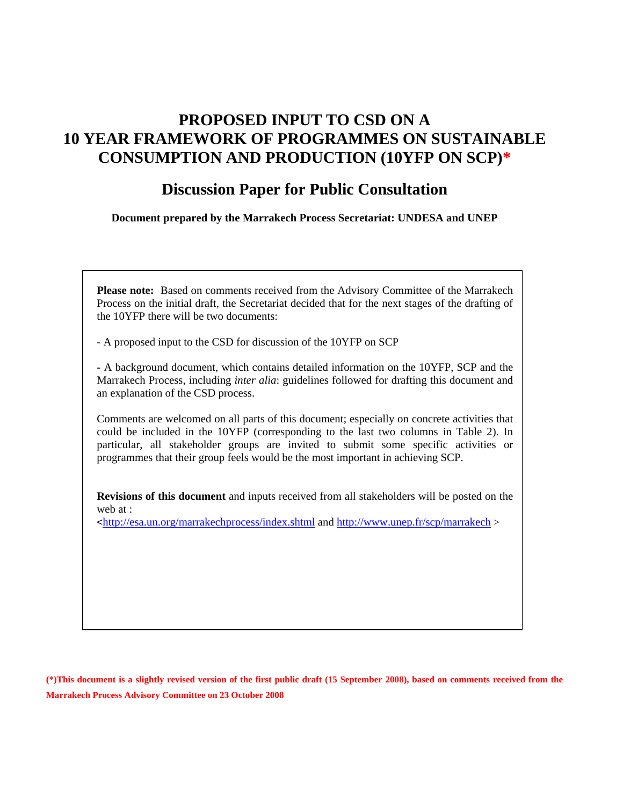# **PROPOSED INPUT TO CSD ON A 10 YEAR FRAMEWORK OF PROGRAMMES ON SUSTAINABLE CONSUMPTION AND PRODUCTION (10YFP ON SCP)\***

# **Discussion Paper for Public Consultation**

**Document prepared by the Marrakech Process Secretariat: UNDESA and UNEP** 

**Please note:** Based on comments received from the Advisory Committee of the Marrakech Process on the initial draft, the Secretariat decided that for the next stages of the drafting of the 10YFP there will be two documents:

- A proposed input to the CSD for discussion of the 10YFP on SCP

- A background document, which contains detailed information on the 10YFP, SCP and the Marrakech Process, including *inter alia*: guidelines followed for drafting this document and an explanation of the CSD process.

Comments are welcomed on all parts of this document; especially on concrete activities that could be included in the 10YFP (corresponding to the last two columns in Table 2). In particular, all stakeholder groups are invited to submit some specific activities or programmes that their group feels would be the most important in achieving SCP.

**Revisions of this document** and inputs received from all stakeholders will be posted on the web at :

 $\text{th}(1)$  = http://esa.un.org/marrakechprocess/index.shtml and http://www.unep.fr/scp/marrakech

**(\*)This document is a slightly revised version of the first public draft (15 September 2008), based on comments received from the Marrakech Process Advisory Committee on 23 October 2008**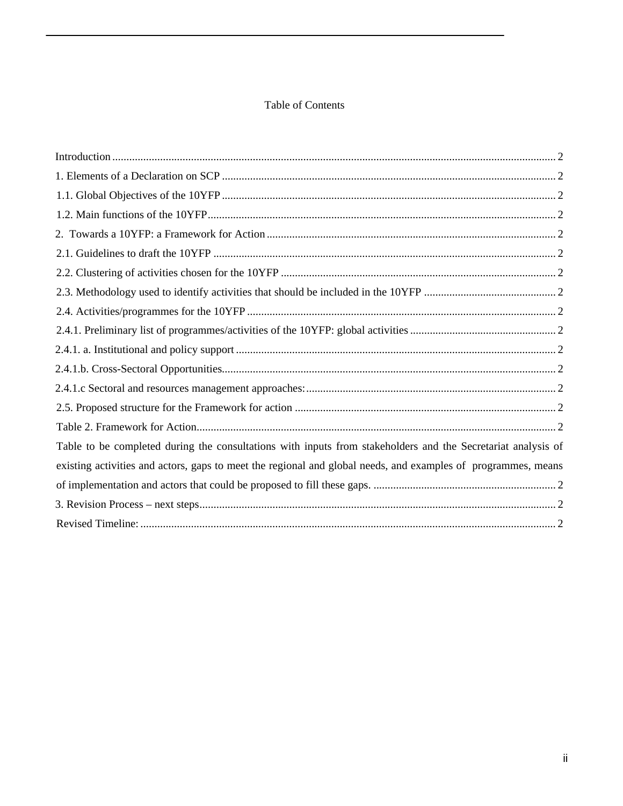## Table of Contents

| Table to be completed during the consultations with inputs from stakeholders and the Secretariat analysis of  |  |
|---------------------------------------------------------------------------------------------------------------|--|
| existing activities and actors, gaps to meet the regional and global needs, and examples of programmes, means |  |
|                                                                                                               |  |
|                                                                                                               |  |
|                                                                                                               |  |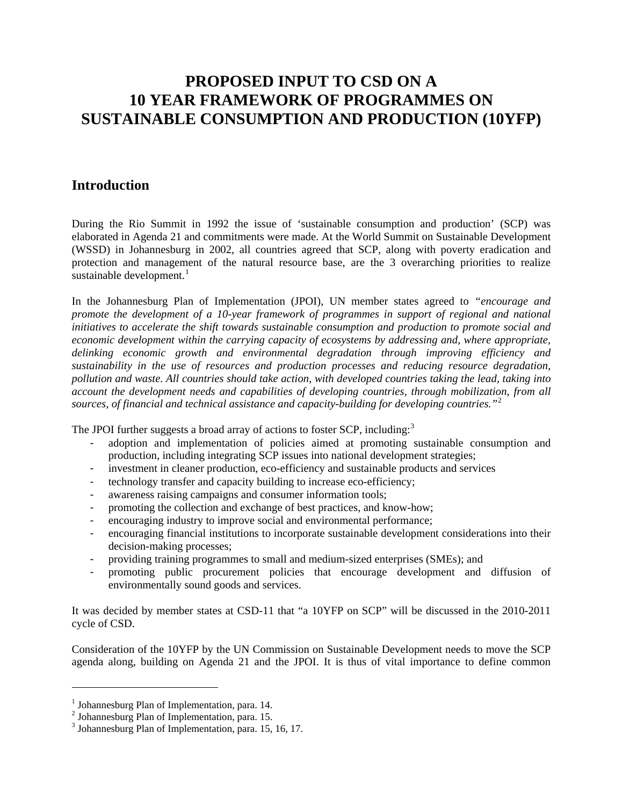# **PROPOSED INPUT TO CSD ON A 10 YEAR FRAMEWORK OF PROGRAMMES ON SUSTAINABLE CONSUMPTION AND PRODUCTION (10YFP)**

# **Introduction**

During the Rio Summit in 1992 the issue of 'sustainable consumption and production' (SCP) was elaborated in Agenda 21 and commitments were made. At the World Summit on Sustainable Development (WSSD) in Johannesburg in 2002, all countries agreed that SCP, along with poverty eradication and protection and management of the natural resource base, are the 3 overarching priorities to realize sustainable development. $\frac{1}{\pi}$ 

In the Johannesburg Plan of Implementation (JPOI), UN member states agreed to *"encourage and promote the development of a 10-year framework of programmes in support of regional and national initiatives to accelerate the shift towards sustainable consumption and production to promote social and economic development within the carrying capacity of ecosystems by addressing and, where appropriate, delinking economic growth and environmental degradation through improving efficiency and sustainability in the use of resources and production processes and reducing resource degradation, pollution and waste. All countries should take action, with developed countries taking the lead, taking into account the development needs and capabilities of developing countries, through mobilization, from all*  sources, of financial and technical assistance and capacity-building for developing countries."<sup>2</sup>

The JPOI further suggests a broad array of actions to foster SCP, including: $3$ 

- adoption and implementation of policies aimed at promoting sustainable consumption and production, including integrating SCP issues into national development strategies;
- investment in cleaner production, eco-efficiency and sustainable products and services
- technology transfer and capacity building to increase eco-efficiency;
- awareness raising campaigns and consumer information tools;
- promoting the collection and exchange of best practices, and know-how;
- encouraging industry to improve social and environmental performance;
- encouraging financial institutions to incorporate sustainable development considerations into their decision-making processes;
- providing training programmes to small and medium-sized enterprises (SMEs); and
- promoting public procurement policies that encourage development and diffusion of environmentally sound goods and services.

It was decided by member states at CSD-11 that "a 10YFP on SCP" will be discussed in the 2010-2011 cycle of CSD.

Consideration of the 10YFP by the UN Commission on Sustainable Development needs to move the SCP agenda along, building on Agenda 21 and the JPOI. It is thus of vital importance to define common

 $\overline{a}$ 

 $<sup>1</sup>$  Johannesburg Plan of Implementation, para. 14.</sup>

 $<sup>2</sup>$  Johannesburg Plan of Implementation, para. 15.</sup>

 $3$  Johannesburg Plan of Implementation, para. 15, 16, 17.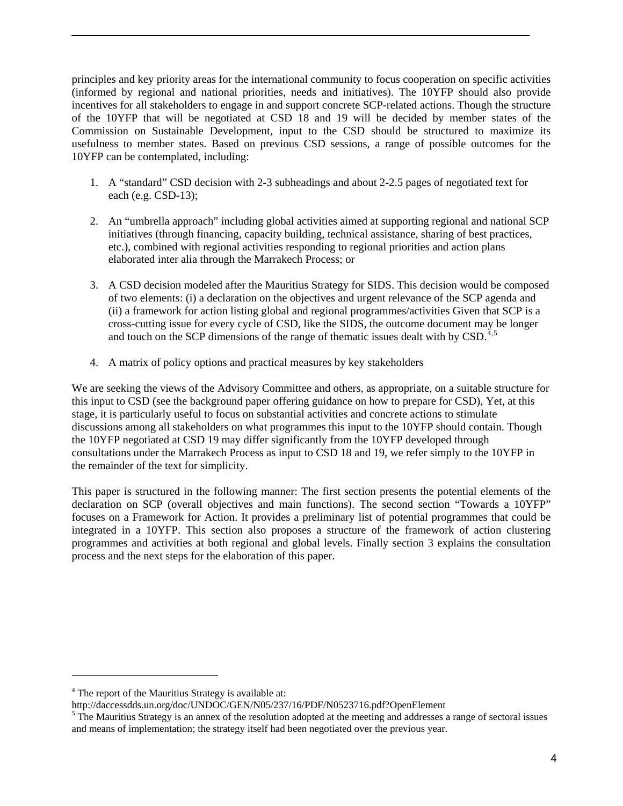principles and key priority areas for the international community to focus cooperation on specific activities (informed by regional and national priorities, needs and initiatives). The 10YFP should also provide incentives for all stakeholders to engage in and support concrete SCP-related actions. Though the structure of the 10YFP that will be negotiated at CSD 18 and 19 will be decided by member states of the Commission on Sustainable Development, input to the CSD should be structured to maximize its usefulness to member states. Based on previous CSD sessions, a range of possible outcomes for the 10YFP can be contemplated, including:

- 1. A "standard" CSD decision with 2-3 subheadings and about 2-2.5 pages of negotiated text for each (e.g. CSD-13);
- 2. An "umbrella approach" including global activities aimed at supporting regional and national SCP initiatives (through financing, capacity building, technical assistance, sharing of best practices, etc.), combined with regional activities responding to regional priorities and action plans elaborated inter alia through the Marrakech Process; or
- 3. A CSD decision modeled after the Mauritius Strategy for SIDS. This decision would be composed of two elements: (i) a declaration on the objectives and urgent relevance of the SCP agenda and (ii) a framework for action listing global and regional programmes/activities Given that SCP is a cross-cutting issue for every cycle of CSD, like the SIDS, the outcome document may be longer and touch on the SCP dimensions of the range of thematic issues dealt with by  $\text{CSD}$ .<sup>4,5</sup>
- 4. A matrix of policy options and practical measures by key stakeholders

We are seeking the views of the Advisory Committee and others, as appropriate, on a suitable structure for this input to CSD (see the background paper offering guidance on how to prepare for CSD), Yet, at this stage, it is particularly useful to focus on substantial activities and concrete actions to stimulate discussions among all stakeholders on what programmes this input to the 10YFP should contain. Though the 10YFP negotiated at CSD 19 may differ significantly from the 10YFP developed through consultations under the Marrakech Process as input to CSD 18 and 19, we refer simply to the 10YFP in the remainder of the text for simplicity.

This paper is structured in the following manner: The first section presents the potential elements of the declaration on SCP (overall objectives and main functions). The second section "Towards a 10YFP" focuses on a Framework for Action. It provides a preliminary list of potential programmes that could be integrated in a 10YFP. This section also proposes a structure of the framework of action clustering programmes and activities at both regional and global levels. Finally section 3 explains the consultation process and the next steps for the elaboration of this paper.

 $4$  The report of the Mauritius Strategy is available at:

http://daccessdds.un.org/doc/UNDOC/GEN/N05/237/16/PDF/N0523716.pdf?OpenElement

 $5$  The Mauritius Strategy is an annex of the resolution adopted at the meeting and addresses a range of sectoral issues and means of implementation; the strategy itself had been negotiated over the previous year.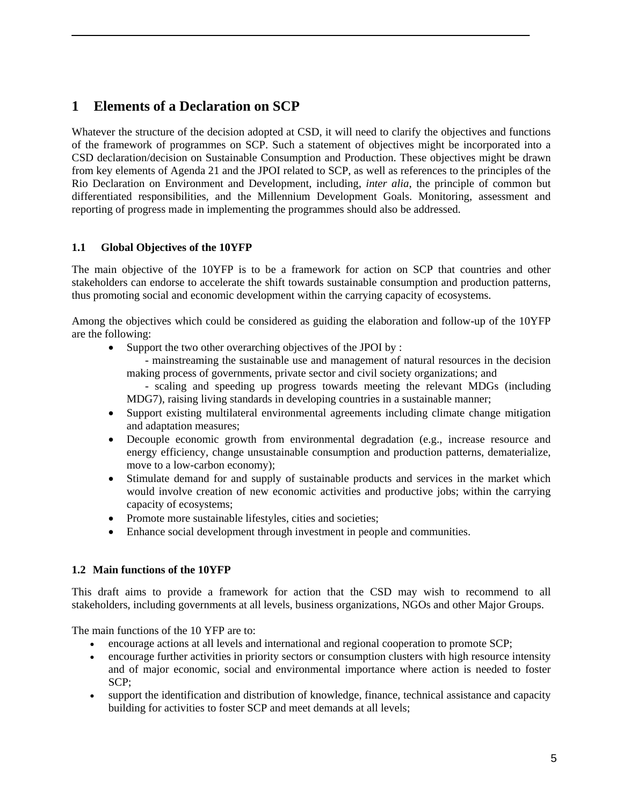# **1 Elements of a Declaration on SCP**

Whatever the structure of the decision adopted at CSD, it will need to clarify the objectives and functions of the framework of programmes on SCP. Such a statement of objectives might be incorporated into a CSD declaration/decision on Sustainable Consumption and Production. These objectives might be drawn from key elements of Agenda 21 and the JPOI related to SCP, as well as references to the principles of the Rio Declaration on Environment and Development, including, *inter alia*, the principle of common but differentiated responsibilities, and the Millennium Development Goals. Monitoring, assessment and reporting of progress made in implementing the programmes should also be addressed.

## **1.1 Global Objectives of the 10YFP**

The main objective of the 10YFP is to be a framework for action on SCP that countries and other stakeholders can endorse to accelerate the shift towards sustainable consumption and production patterns, thus promoting social and economic development within the carrying capacity of ecosystems.

Among the objectives which could be considered as guiding the elaboration and follow-up of the 10YFP are the following:

• Support the two other overarching objectives of the JPOI by :

- mainstreaming the sustainable use and management of natural resources in the decision making process of governments, private sector and civil society organizations; and

- scaling and speeding up progress towards meeting the relevant MDGs (including MDG7), raising living standards in developing countries in a sustainable manner;

- Support existing multilateral environmental agreements including climate change mitigation and adaptation measures;
- Decouple economic growth from environmental degradation (e.g., increase resource and energy efficiency, change unsustainable consumption and production patterns, dematerialize, move to a low-carbon economy);
- Stimulate demand for and supply of sustainable products and services in the market which would involve creation of new economic activities and productive jobs; within the carrying capacity of ecosystems;
- Promote more sustainable lifestyles, cities and societies;
- Enhance social development through investment in people and communities.

## **1.2 Main functions of the 10YFP**

This draft aims to provide a framework for action that the CSD may wish to recommend to all stakeholders, including governments at all levels, business organizations, NGOs and other Major Groups.

The main functions of the 10 YFP are to:

- encourage actions at all levels and international and regional cooperation to promote SCP;
- encourage further activities in priority sectors or consumption clusters with high resource intensity and of major economic, social and environmental importance where action is needed to foster SCP;
- support the identification and distribution of knowledge, finance, technical assistance and capacity building for activities to foster SCP and meet demands at all levels;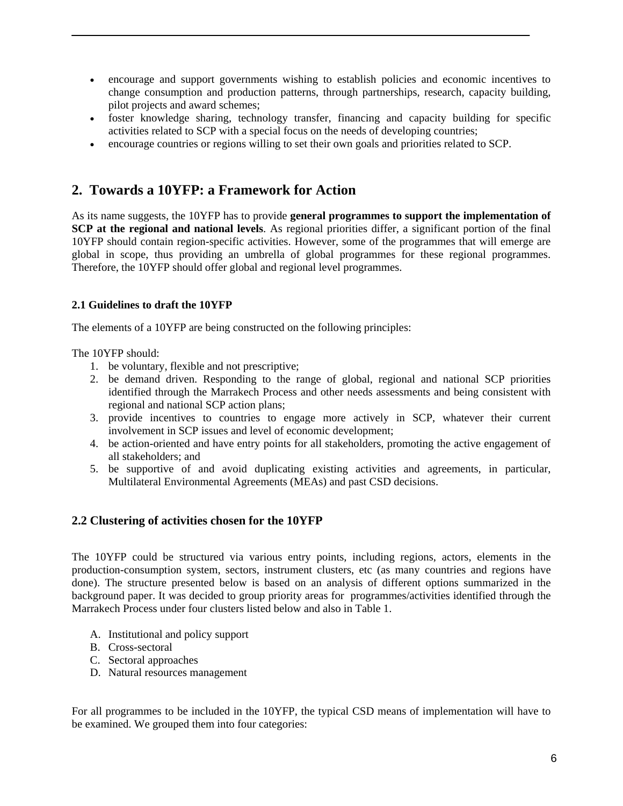- encourage and support governments wishing to establish policies and economic incentives to change consumption and production patterns, through partnerships, research, capacity building, pilot projects and award schemes;
- foster knowledge sharing, technology transfer, financing and capacity building for specific activities related to SCP with a special focus on the needs of developing countries;
- encourage countries or regions willing to set their own goals and priorities related to SCP.

# **2. Towards a 10YFP: a Framework for Action**

As its name suggests, the 10YFP has to provide **general programmes to support the implementation of SCP at the regional and national levels**. As regional priorities differ, a significant portion of the final 10YFP should contain region-specific activities. However, some of the programmes that will emerge are global in scope, thus providing an umbrella of global programmes for these regional programmes. Therefore, the 10YFP should offer global and regional level programmes.

#### **2.1 Guidelines to draft the 10YFP**

The elements of a 10YFP are being constructed on the following principles:

The 10YFP should:

- 1. be voluntary, flexible and not prescriptive;
- 2. be demand driven. Responding to the range of global, regional and national SCP priorities identified through the Marrakech Process and other needs assessments and being consistent with regional and national SCP action plans;
- 3. provide incentives to countries to engage more actively in SCP, whatever their current involvement in SCP issues and level of economic development;
- 4. be action-oriented and have entry points for all stakeholders, promoting the active engagement of all stakeholders; and
- 5. be supportive of and avoid duplicating existing activities and agreements, in particular, Multilateral Environmental Agreements (MEAs) and past CSD decisions.

## **2.2 Clustering of activities chosen for the 10YFP**

The 10YFP could be structured via various entry points, including regions, actors, elements in the production-consumption system, sectors, instrument clusters, etc (as many countries and regions have done). The structure presented below is based on an analysis of different options summarized in the background paper. It was decided to group priority areas for programmes/activities identified through the Marrakech Process under four clusters listed below and also in Table 1.

- A. Institutional and policy support
- B. Cross-sectoral
- C. Sectoral approaches
- D. Natural resources management

For all programmes to be included in the 10YFP, the typical CSD means of implementation will have to be examined. We grouped them into four categories: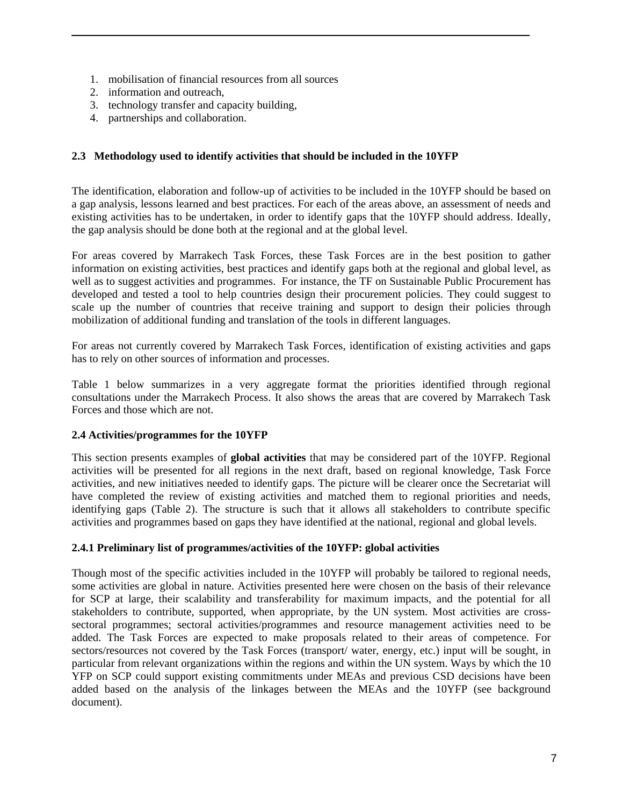- 1. mobilisation of financial resources from all sources
- 2. information and outreach,
- 3. technology transfer and capacity building,
- 4. partnerships and collaboration.

#### **2.3 Methodology used to identify activities that should be included in the 10YFP**

The identification, elaboration and follow-up of activities to be included in the 10YFP should be based on a gap analysis, lessons learned and best practices. For each of the areas above, an assessment of needs and existing activities has to be undertaken, in order to identify gaps that the 10YFP should address. Ideally, the gap analysis should be done both at the regional and at the global level.

For areas covered by Marrakech Task Forces, these Task Forces are in the best position to gather information on existing activities, best practices and identify gaps both at the regional and global level, as well as to suggest activities and programmes. For instance, the TF on Sustainable Public Procurement has developed and tested a tool to help countries design their procurement policies. They could suggest to scale up the number of countries that receive training and support to design their policies through mobilization of additional funding and translation of the tools in different languages.

For areas not currently covered by Marrakech Task Forces, identification of existing activities and gaps has to rely on other sources of information and processes.

Table 1 below summarizes in a very aggregate format the priorities identified through regional consultations under the Marrakech Process. It also shows the areas that are covered by Marrakech Task Forces and those which are not.

#### **2.4 Activities/programmes for the 10YFP**

This section presents examples of **global activities** that may be considered part of the 10YFP. Regional activities will be presented for all regions in the next draft, based on regional knowledge, Task Force activities, and new initiatives needed to identify gaps. The picture will be clearer once the Secretariat will have completed the review of existing activities and matched them to regional priorities and needs, identifying gaps (Table 2). The structure is such that it allows all stakeholders to contribute specific activities and programmes based on gaps they have identified at the national, regional and global levels.

#### **2.4.1 Preliminary list of programmes/activities of the 10YFP: global activities**

Though most of the specific activities included in the 10YFP will probably be tailored to regional needs, some activities are global in nature. Activities presented here were chosen on the basis of their relevance for SCP at large, their scalability and transferability for maximum impacts, and the potential for all stakeholders to contribute, supported, when appropriate, by the UN system. Most activities are crosssectoral programmes; sectoral activities/programmes and resource management activities need to be added. The Task Forces are expected to make proposals related to their areas of competence. For sectors/resources not covered by the Task Forces (transport/ water, energy, etc.) input will be sought, in particular from relevant organizations within the regions and within the UN system. Ways by which the 10 YFP on SCP could support existing commitments under MEAs and previous CSD decisions have been added based on the analysis of the linkages between the MEAs and the 10YFP (see background document).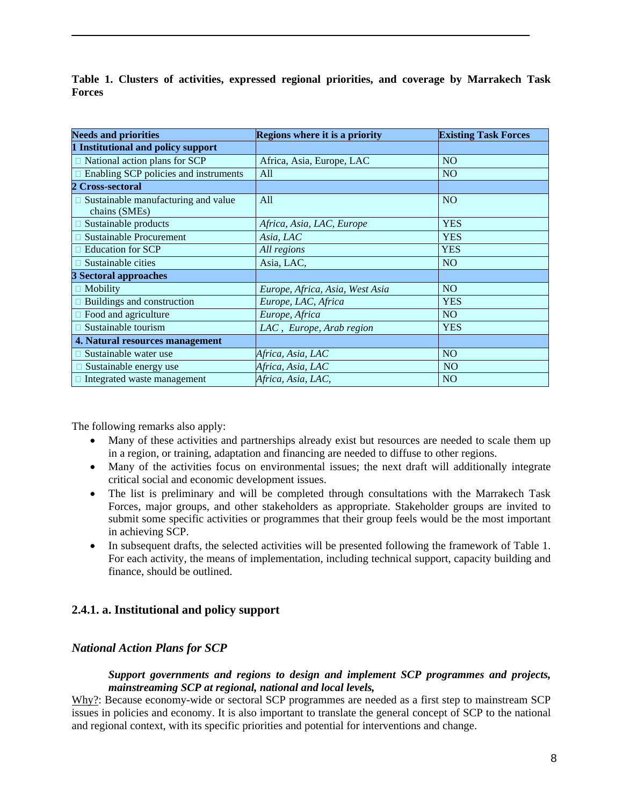**Table 1. Clusters of activities, expressed regional priorities, and coverage by Marrakech Task Forces**

| <b>Needs and priorities</b>                                 | Regions where it is a priority  | <b>Existing Task Forces</b> |  |
|-------------------------------------------------------------|---------------------------------|-----------------------------|--|
| 1 Institutional and policy support                          |                                 |                             |  |
| $\Box$ National action plans for SCP                        | Africa, Asia, Europe, LAC       | <b>NO</b>                   |  |
| Enabling SCP policies and instruments                       | All                             | N <sub>O</sub>              |  |
| 2 Cross-sectoral                                            |                                 |                             |  |
| $\Box$ Sustainable manufacturing and value<br>chains (SMEs) | All                             | N <sub>O</sub>              |  |
| $\square$ Sustainable products                              | Africa, Asia, LAC, Europe       | <b>YES</b>                  |  |
| $\Box$ Sustainable Procurement                              | Asia, LAC                       | <b>YES</b>                  |  |
| <b>Education for SCP</b>                                    | All regions                     | <b>YES</b>                  |  |
| Sustainable cities                                          | Asia, LAC,                      | <b>NO</b>                   |  |
| <b>3 Sectoral approaches</b>                                |                                 |                             |  |
| Mobility                                                    | Europe, Africa, Asia, West Asia | <b>NO</b>                   |  |
| Buildings and construction                                  | Europe, LAC, Africa             | <b>YES</b>                  |  |
| □ Food and agriculture                                      | Europe, Africa                  | NO.                         |  |
| Sustainable tourism                                         | LAC, Europe, Arab region        | <b>YES</b>                  |  |
| 4. Natural resources management                             |                                 |                             |  |
| Sustainable water use                                       | Africa, Asia, LAC               | <b>NO</b>                   |  |
| Sustainable energy use                                      | Africa, Asia, LAC               | <b>NO</b>                   |  |
| Integrated waste management                                 | Africa, Asia, LAC,              | <b>NO</b>                   |  |

The following remarks also apply:

- Many of these activities and partnerships already exist but resources are needed to scale them up in a region, or training, adaptation and financing are needed to diffuse to other regions.
- Many of the activities focus on environmental issues; the next draft will additionally integrate critical social and economic development issues.
- The list is preliminary and will be completed through consultations with the Marrakech Task Forces, major groups, and other stakeholders as appropriate. Stakeholder groups are invited to submit some specific activities or programmes that their group feels would be the most important in achieving SCP.
- In subsequent drafts, the selected activities will be presented following the framework of Table 1. For each activity, the means of implementation, including technical support, capacity building and finance, should be outlined.

# **2.4.1. a. Institutional and policy support**

# *National Action Plans for SCP*

#### *Support governments and regions to design and implement SCP programmes and projects, mainstreaming SCP at regional, national and local levels,*

Why?: Because economy-wide or sectoral SCP programmes are needed as a first step to mainstream SCP issues in policies and economy. It is also important to translate the general concept of SCP to the national and regional context, with its specific priorities and potential for interventions and change.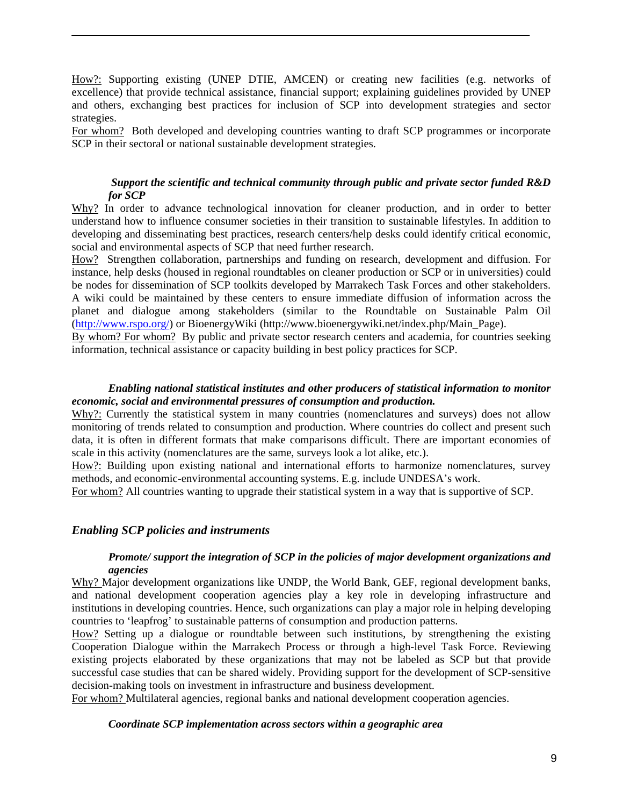How?: Supporting existing (UNEP DTIE, AMCEN) or creating new facilities (e.g. networks of excellence) that provide technical assistance, financial support; explaining guidelines provided by UNEP and others, exchanging best practices for inclusion of SCP into development strategies and sector strategies.

For whom? Both developed and developing countries wanting to draft SCP programmes or incorporate SCP in their sectoral or national sustainable development strategies.

#### *Support the scientific and technical community through public and private sector funded R&D for SCP*

Why? In order to advance technological innovation for cleaner production, and in order to better understand how to influence consumer societies in their transition to sustainable lifestyles. In addition to developing and disseminating best practices, research centers/help desks could identify critical economic, social and environmental aspects of SCP that need further research.

How? Strengthen collaboration, partnerships and funding on research, development and diffusion. For instance, help desks (housed in regional roundtables on cleaner production or SCP or in universities) could be nodes for dissemination of SCP toolkits developed by Marrakech Task Forces and other stakeholders. A wiki could be maintained by these centers to ensure immediate diffusion of information across the planet and dialogue among stakeholders (similar to the Roundtable on Sustainable Palm Oil (http://www.rspo.org/) or BioenergyWiki (http://www.bioenergywiki.net/index.php/Main\_Page).

By whom? For whom? By public and private sector research centers and academia, for countries seeking information, technical assistance or capacity building in best policy practices for SCP.

#### *Enabling national statistical institutes and other producers of statistical information to monitor economic, social and environmental pressures of consumption and production.*

 $W$ hy?: Currently the statistical system in many countries (nomenclatures and surveys) does not allow monitoring of trends related to consumption and production. Where countries do collect and present such data, it is often in different formats that make comparisons difficult. There are important economies of scale in this activity (nomenclatures are the same, surveys look a lot alike, etc.).

How?: Building upon existing national and international efforts to harmonize nomenclatures, survey methods, and economic-environmental accounting systems. E.g. include UNDESA's work.

For whom? All countries wanting to upgrade their statistical system in a way that is supportive of SCP.

#### *Enabling SCP policies and instruments*

#### *Promote/ support the integration of SCP in the policies of major development organizations and agencies*

Why? Major development organizations like UNDP, the World Bank, GEF, regional development banks, and national development cooperation agencies play a key role in developing infrastructure and institutions in developing countries. Hence, such organizations can play a major role in helping developing countries to 'leapfrog' to sustainable patterns of consumption and production patterns.

How? Setting up a dialogue or roundtable between such institutions, by strengthening the existing Cooperation Dialogue within the Marrakech Process or through a high-level Task Force. Reviewing existing projects elaborated by these organizations that may not be labeled as SCP but that provide successful case studies that can be shared widely. Providing support for the development of SCP-sensitive decision-making tools on investment in infrastructure and business development.

For whom? Multilateral agencies, regional banks and national development cooperation agencies.

#### *Coordinate SCP implementation across sectors within a geographic area*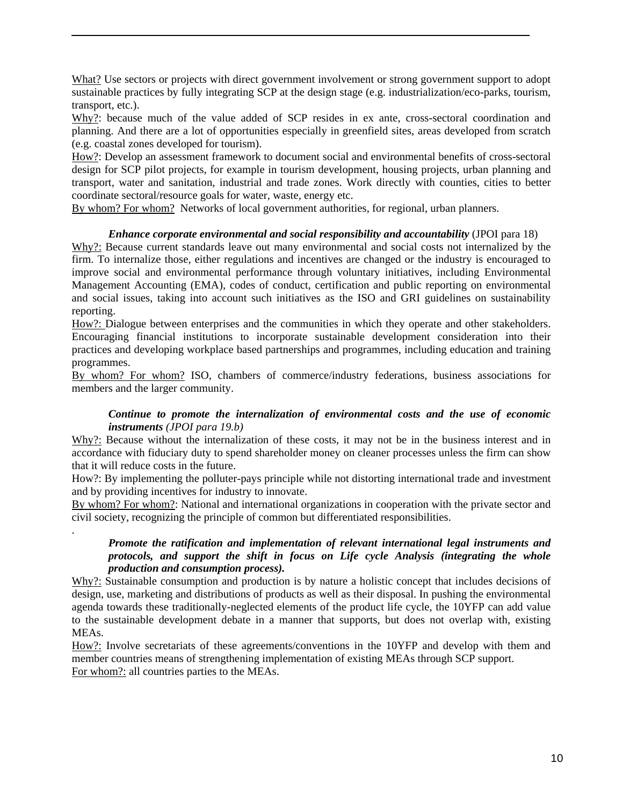What? Use sectors or projects with direct government involvement or strong government support to adopt sustainable practices by fully integrating SCP at the design stage (e.g. industrialization/eco-parks, tourism, transport, etc.).

Why?: because much of the value added of SCP resides in ex ante, cross-sectoral coordination and planning. And there are a lot of opportunities especially in greenfield sites, areas developed from scratch (e.g. coastal zones developed for tourism).

How?: Develop an assessment framework to document social and environmental benefits of cross-sectoral design for SCP pilot projects, for example in tourism development, housing projects, urban planning and transport, water and sanitation, industrial and trade zones. Work directly with counties, cities to better coordinate sectoral/resource goals for water, waste, energy etc.

By whom? For whom? Networks of local government authorities, for regional, urban planners.

#### *Enhance corporate environmental and social responsibility and accountability* (JPOI para 18)

Why?: Because current standards leave out many environmental and social costs not internalized by the firm. To internalize those, either regulations and incentives are changed or the industry is encouraged to improve social and environmental performance through voluntary initiatives, including Environmental Management Accounting (EMA), codes of conduct, certification and public reporting on environmental and social issues, taking into account such initiatives as the ISO and GRI guidelines on sustainability reporting.

How?: Dialogue between enterprises and the communities in which they operate and other stakeholders. Encouraging financial institutions to incorporate sustainable development consideration into their practices and developing workplace based partnerships and programmes, including education and training programmes.

By whom? For whom? ISO, chambers of commerce/industry federations, business associations for members and the larger community.

#### *Continue to promote the internalization of environmental costs and the use of economic instruments (JPOI para 19.b)*

Why?: Because without the internalization of these costs, it may not be in the business interest and in accordance with fiduciary duty to spend shareholder money on cleaner processes unless the firm can show that it will reduce costs in the future.

How?: By implementing the polluter-pays principle while not distorting international trade and investment and by providing incentives for industry to innovate.

By whom? For whom?: National and international organizations in cooperation with the private sector and civil society, recognizing the principle of common but differentiated responsibilities.

.

#### *Promote the ratification and implementation of relevant international legal instruments and protocols, and support the shift in focus on Life cycle Analysis (integrating the whole production and consumption process).*

Why?: Sustainable consumption and production is by nature a holistic concept that includes decisions of design, use, marketing and distributions of products as well as their disposal. In pushing the environmental agenda towards these traditionally-neglected elements of the product life cycle, the 10YFP can add value to the sustainable development debate in a manner that supports, but does not overlap with, existing MEAs.

How?: Involve secretariats of these agreements/conventions in the 10YFP and develop with them and member countries means of strengthening implementation of existing MEAs through SCP support. For whom?: all countries parties to the MEAs.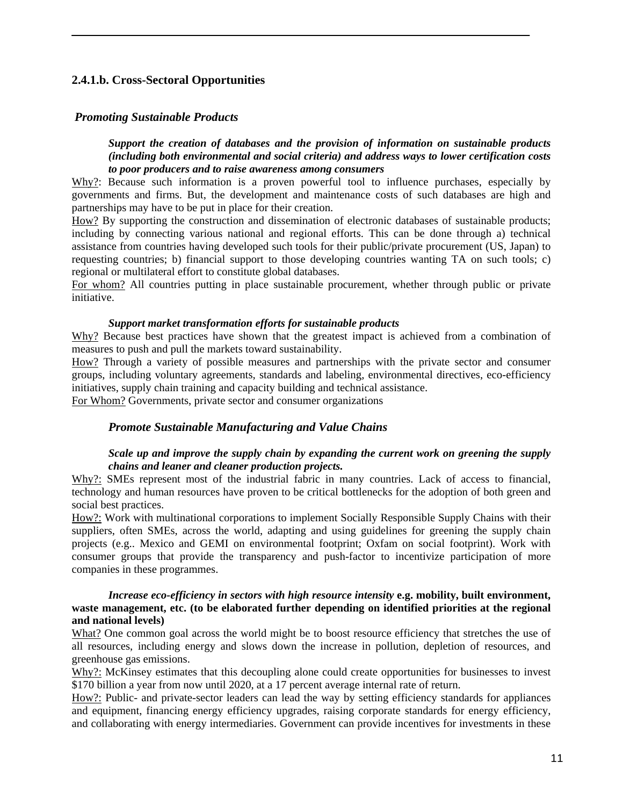## **2.4.1.b. Cross-Sectoral Opportunities**

#### *Promoting Sustainable Products*

*Support the creation of databases and the provision of information on sustainable products (including both environmental and social criteria) and address ways to lower certification costs to poor producers and to raise awareness among consumers* 

Why?: Because such information is a proven powerful tool to influence purchases, especially by governments and firms. But, the development and maintenance costs of such databases are high and partnerships may have to be put in place for their creation.

How? By supporting the construction and dissemination of electronic databases of sustainable products; including by connecting various national and regional efforts. This can be done through a) technical assistance from countries having developed such tools for their public/private procurement (US, Japan) to requesting countries; b) financial support to those developing countries wanting TA on such tools; c) regional or multilateral effort to constitute global databases.

For whom? All countries putting in place sustainable procurement, whether through public or private initiative.

#### *Support market transformation efforts for sustainable products*

Why? Because best practices have shown that the greatest impact is achieved from a combination of measures to push and pull the markets toward sustainability.

<sup>U</sup>How?U Through a variety of possible measures and partnerships with the private sector and consumer groups, including voluntary agreements, standards and labeling, environmental directives, eco-efficiency initiatives, supply chain training and capacity building and technical assistance.

For Whom? Governments, private sector and consumer organizations

#### *Promote Sustainable Manufacturing and Value Chains*

#### *Scale up and improve the supply chain by expanding the current work on greening the supply chains and leaner and cleaner production projects.*

Why?: SMEs represent most of the industrial fabric in many countries. Lack of access to financial, technology and human resources have proven to be critical bottlenecks for the adoption of both green and social best practices.

How?: Work with multinational corporations to implement Socially Responsible Supply Chains with their suppliers, often SMEs, across the world, adapting and using guidelines for greening the supply chain projects (e.g.. Mexico and GEMI on environmental footprint; Oxfam on social footprint). Work with consumer groups that provide the transparency and push-factor to incentivize participation of more companies in these programmes.

#### *Increase eco-efficiency in sectors with high resource intensity* **e.g. mobility, built environment, waste management, etc. (to be elaborated further depending on identified priorities at the regional and national levels)**

What? One common goal across the world might be to boost resource efficiency that stretches the use of all resources, including energy and slows down the increase in pollution, depletion of resources, and greenhouse gas emissions.

Why?: McKinsey estimates that this decoupling alone could create opportunities for businesses to invest \$170 billion a year from now until 2020, at a 17 percent average internal rate of return.

How?: Public- and private-sector leaders can lead the way by setting efficiency standards for appliances and equipment, financing energy efficiency upgrades, raising corporate standards for energy efficiency, and collaborating with energy intermediaries. Government can provide incentives for investments in these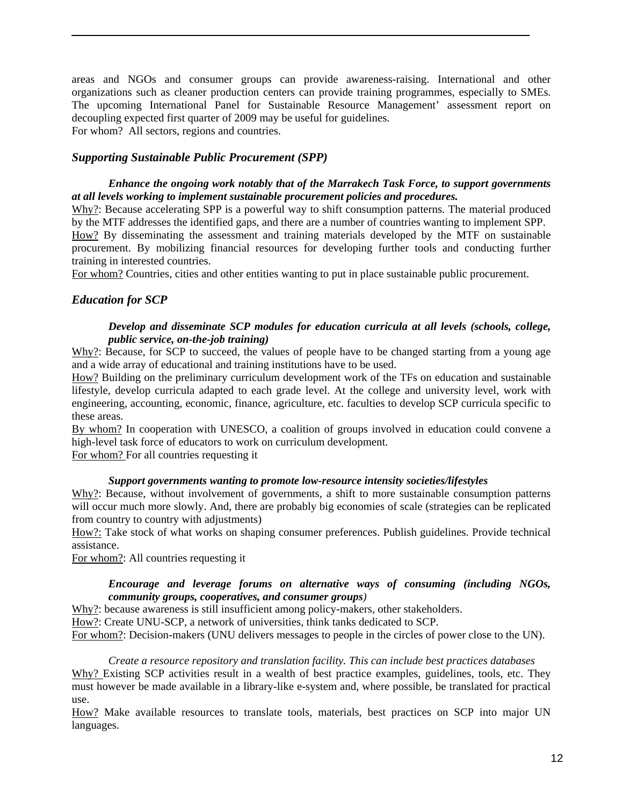areas and NGOs and consumer groups can provide awareness-raising. International and other organizations such as cleaner production centers can provide training programmes, especially to SMEs. The upcoming International Panel for Sustainable Resource Management' assessment report on decoupling expected first quarter of 2009 may be useful for guidelines. For whom? All sectors, regions and countries.

### *Supporting Sustainable Public Procurement (SPP)*

 *Enhance the ongoing work notably that of the Marrakech Task Force, to support governments at all levels working to implement sustainable procurement policies and procedures.* 

Why?: Because accelerating SPP is a powerful way to shift consumption patterns. The material produced by the MTF addresses the identified gaps, and there are a number of countries wanting to implement SPP.

How? By disseminating the assessment and training materials developed by the MTF on sustainable procurement. By mobilizing financial resources for developing further tools and conducting further training in interested countries.

For whom? Countries, cities and other entities wanting to put in place sustainable public procurement.

#### *Education for SCP*

#### *Develop and disseminate SCP modules for education curricula at all levels (schools, college, public service, on-the-job training)*

 $W$ hy?: Because, for SCP to succeed, the values of people have to be changed starting from a young age and a wide array of educational and training institutions have to be used.

How? Building on the preliminary curriculum development work of the TFs on education and sustainable lifestyle, develop curricula adapted to each grade level. At the college and university level, work with engineering, accounting, economic, finance, agriculture, etc. faculties to develop SCP curricula specific to these areas.

By whom? In cooperation with UNESCO, a coalition of groups involved in education could convene a high-level task force of educators to work on curriculum development.

For whom? For all countries requesting it

#### *Support governments wanting to promote low-resource intensity societies/lifestyles*

Why?: Because, without involvement of governments, a shift to more sustainable consumption patterns will occur much more slowly. And, there are probably big economies of scale (strategies can be replicated from country to country with adjustments)

How?: Take stock of what works on shaping consumer preferences. Publish guidelines. Provide technical assistance.

For whom?: All countries requesting it

#### *Encourage and leverage forums on alternative ways of consuming (including NGOs, community groups, cooperatives, and consumer groups)*

Why?: because awareness is still insufficient among policy-makers, other stakeholders.

How?: Create UNU-SCP, a network of universities, think tanks dedicated to SCP.

For whom?: Decision-makers (UNU delivers messages to people in the circles of power close to the UN).

*Create a resource repository and translation facility. This can include best practices databases*  Why? Existing SCP activities result in a wealth of best practice examples, guidelines, tools, etc. They must however be made available in a library-like e-system and, where possible, be translated for practical use.

How? Make available resources to translate tools, materials, best practices on SCP into major UN languages.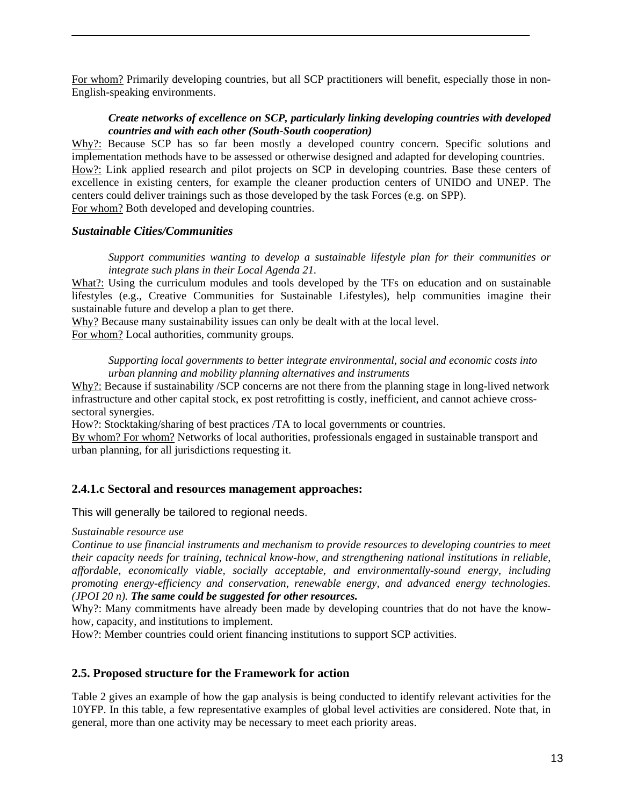For whom? Primarily developing countries, but all SCP practitioners will benefit, especially those in non-English-speaking environments.

#### *Create networks of excellence on SCP, particularly linking developing countries with developed countries and with each other (South-South cooperation)*

Why?: Because SCP has so far been mostly a developed country concern. Specific solutions and implementation methods have to be assessed or otherwise designed and adapted for developing countries. How?: Link applied research and pilot projects on SCP in developing countries. Base these centers of excellence in existing centers, for example the cleaner production centers of UNIDO and UNEP. The centers could deliver trainings such as those developed by the task Forces (e.g. on SPP). For whom? Both developed and developing countries.

#### *Sustainable Cities/Communities*

*Support communities wanting to develop a sustainable lifestyle plan for their communities or integrate such plans in their Local Agenda 21.* 

What?: Using the curriculum modules and tools developed by the TFs on education and on sustainable lifestyles (e.g., Creative Communities for Sustainable Lifestyles), help communities imagine their sustainable future and develop a plan to get there.

Why? Because many sustainability issues can only be dealt with at the local level. For whom? Local authorities, community groups.

*Supporting local governments to better integrate environmental, social and economic costs into urban planning and mobility planning alternatives and instruments* 

Why?: Because if sustainability /SCP concerns are not there from the planning stage in long-lived network infrastructure and other capital stock, ex post retrofitting is costly, inefficient, and cannot achieve crosssectoral synergies.

How?: Stocktaking/sharing of best practices /TA to local governments or countries.

By whom? For whom? Networks of local authorities, professionals engaged in sustainable transport and urban planning, for all jurisdictions requesting it.

## **2.4.1.c Sectoral and resources management approaches:**

This will generally be tailored to regional needs.

#### *Sustainable resource use*

*Continue to use financial instruments and mechanism to provide resources to developing countries to meet their capacity needs for training, technical know-how, and strengthening national institutions in reliable, affordable, economically viable, socially acceptable, and environmentally-sound energy, including promoting energy-efficiency and conservation, renewable energy, and advanced energy technologies. (JPOI 20 n). The same could be suggested for other resources.* 

Why?: Many commitments have already been made by developing countries that do not have the knowhow, capacity, and institutions to implement.

How?: Member countries could orient financing institutions to support SCP activities.

## **2.5. Proposed structure for the Framework for action**

Table 2 gives an example of how the gap analysis is being conducted to identify relevant activities for the 10YFP. In this table, a few representative examples of global level activities are considered. Note that, in general, more than one activity may be necessary to meet each priority areas.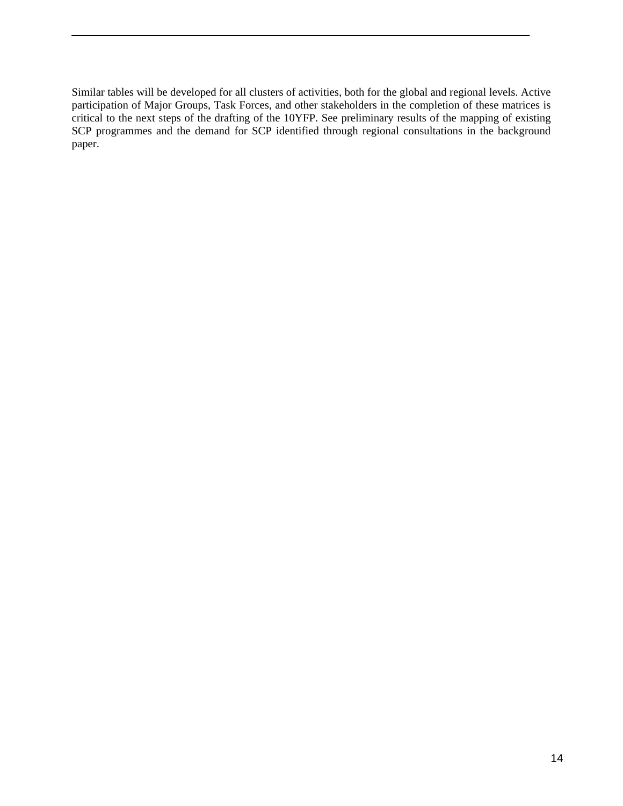Similar tables will be developed for all clusters of activities, both for the global and regional levels. Active participation of Major Groups, Task Forces, and other stakeholders in the completion of these matrices is critical to the next steps of the drafting of the 10YFP. See preliminary results of the mapping of existing SCP programmes and the demand for SCP identified through regional consultations in the background paper.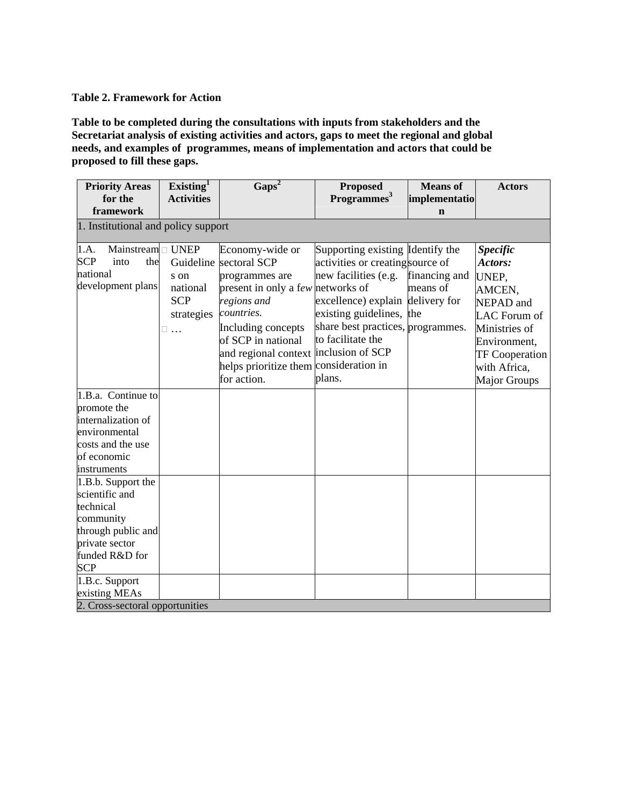#### **Table 2. Framework for Action**

**Table to be completed during the consultations with inputs from stakeholders and the Secretariat analysis of existing activities and actors, gaps to meet the regional and global needs, and examples of programmes, means of implementation and actors that could be proposed to fill these gaps.** 

| <b>Priority Areas</b>               | Existing $^1$     | $\text{Gaps}^2$                        | <b>Proposed</b>                   | <b>Means</b> of | <b>Actors</b>         |  |
|-------------------------------------|-------------------|----------------------------------------|-----------------------------------|-----------------|-----------------------|--|
| for the                             | <b>Activities</b> |                                        | Programmes <sup>3</sup>           | implementatio   |                       |  |
| framework                           |                   |                                        |                                   | $\mathbf n$     |                       |  |
| 1. Institutional and policy support |                   |                                        |                                   |                 |                       |  |
| Mainstream $\Box$ UNEP<br>1.A.      |                   | Economy-wide or                        | Supporting existing Identify the  |                 | <b>Specific</b>       |  |
| <b>SCP</b><br>into<br>the           |                   | Guideline sectoral SCP                 | activities or creating source of  |                 | Actors:               |  |
| national                            | s on              | programmes are                         | new facilities (e.g.              | financing and   | UNEP,                 |  |
| development plans                   | national          | present in only a few networks of      |                                   | means of        | AMCEN,                |  |
|                                     | <b>SCP</b>        | regions and                            | excellence) explain delivery for  |                 | NEPAD and             |  |
|                                     | strategies        | countries.                             | existing guidelines, the          |                 | LAC Forum of          |  |
|                                     | □<br>$\dddotsc$   | Including concepts                     | share best practices, programmes. |                 | Ministries of         |  |
|                                     |                   | of SCP in national                     | to facilitate the                 |                 | Environment,          |  |
|                                     |                   | and regional context inclusion of SCP  |                                   |                 | <b>TF Cooperation</b> |  |
|                                     |                   | helps prioritize them consideration in |                                   |                 | with Africa,          |  |
|                                     |                   | for action.                            | plans.                            |                 | Major Groups          |  |
| 1.B.a. Continue to                  |                   |                                        |                                   |                 |                       |  |
| promote the                         |                   |                                        |                                   |                 |                       |  |
| internalization of                  |                   |                                        |                                   |                 |                       |  |
| environmental                       |                   |                                        |                                   |                 |                       |  |
| costs and the use                   |                   |                                        |                                   |                 |                       |  |
| of economic                         |                   |                                        |                                   |                 |                       |  |
| instruments                         |                   |                                        |                                   |                 |                       |  |
| 1.B.b. Support the                  |                   |                                        |                                   |                 |                       |  |
| scientific and                      |                   |                                        |                                   |                 |                       |  |
| technical                           |                   |                                        |                                   |                 |                       |  |
| community                           |                   |                                        |                                   |                 |                       |  |
| through public and                  |                   |                                        |                                   |                 |                       |  |
| private sector                      |                   |                                        |                                   |                 |                       |  |
| funded R&D for                      |                   |                                        |                                   |                 |                       |  |
| <b>SCP</b>                          |                   |                                        |                                   |                 |                       |  |
| 1.B.c. Support                      |                   |                                        |                                   |                 |                       |  |
| existing MEAs                       |                   |                                        |                                   |                 |                       |  |
| 2. Cross-sectoral opportunities     |                   |                                        |                                   |                 |                       |  |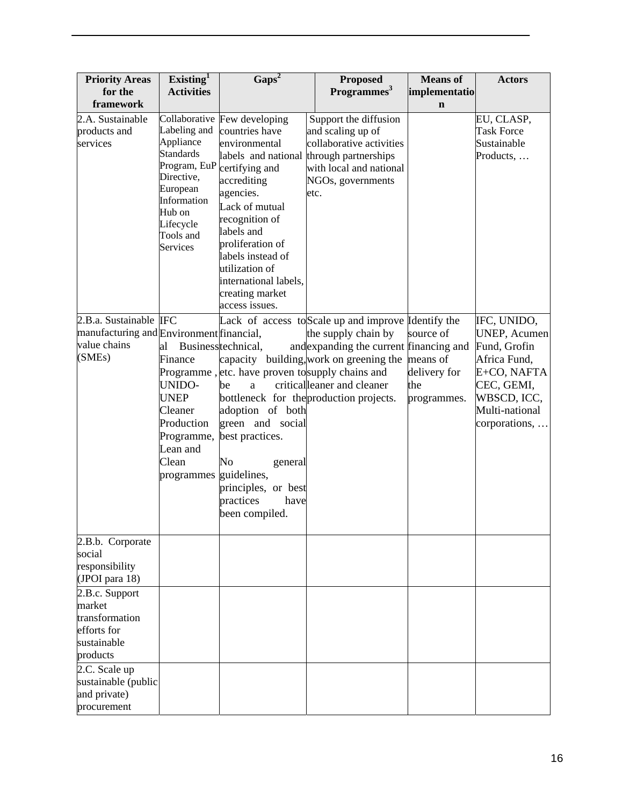| <b>Activities</b><br>Collaborative<br>Few developing<br>Labeling and<br>countries have<br>environmental<br>labels and national<br>Program, EuP<br>certifying and<br>accrediting<br>agencies.<br>Information<br>Lack of mutual<br>recognition of<br>labels and<br>proliferation of<br>labels instead of<br>utilization of<br>international labels,<br>creating market<br>access issues.<br>manufacturing and Environment financial,<br>Businesstechnical,<br>Programme, etc. have proven to supply chains and | Programmes <sup>3</sup><br>Support the diffusion<br>and scaling up of<br>collaborative activities<br>through partnerships<br>with local and national<br>NGOs, governments<br>etc.<br>Lack of access to Scale up and improve Identify the<br>the supply chain by<br>and expanding the current financing and<br>capacity building, work on greening the means of | implementatio<br>$\mathbf n$<br>source of | EU, CLASP,<br><b>Task Force</b><br>Sustainable<br>Products,<br>IFC, UNIDO,<br><b>UNEP, Acumen</b><br>Fund, Grofin |
|--------------------------------------------------------------------------------------------------------------------------------------------------------------------------------------------------------------------------------------------------------------------------------------------------------------------------------------------------------------------------------------------------------------------------------------------------------------------------------------------------------------|----------------------------------------------------------------------------------------------------------------------------------------------------------------------------------------------------------------------------------------------------------------------------------------------------------------------------------------------------------------|-------------------------------------------|-------------------------------------------------------------------------------------------------------------------|
|                                                                                                                                                                                                                                                                                                                                                                                                                                                                                                              |                                                                                                                                                                                                                                                                                                                                                                |                                           |                                                                                                                   |
|                                                                                                                                                                                                                                                                                                                                                                                                                                                                                                              |                                                                                                                                                                                                                                                                                                                                                                |                                           |                                                                                                                   |
| be<br>a<br>adoption of both<br>Production<br>green and social<br>best practices.<br>Programme,<br>No<br>general<br>guidelines,<br>programmes<br>practices<br>been compiled.                                                                                                                                                                                                                                                                                                                                  | criticalleaner and cleaner<br>bottleneck for the production projects.                                                                                                                                                                                                                                                                                          | delivery for<br>the<br>programmes.        | Africa Fund,<br>E+CO, NAFTA<br>CEC, GEMI,<br>WBSCD, ICC,<br>Multi-national<br>corporations,                       |
|                                                                                                                                                                                                                                                                                                                                                                                                                                                                                                              |                                                                                                                                                                                                                                                                                                                                                                |                                           |                                                                                                                   |
|                                                                                                                                                                                                                                                                                                                                                                                                                                                                                                              |                                                                                                                                                                                                                                                                                                                                                                |                                           |                                                                                                                   |
|                                                                                                                                                                                                                                                                                                                                                                                                                                                                                                              |                                                                                                                                                                                                                                                                                                                                                                | principles, or best<br>have               |                                                                                                                   |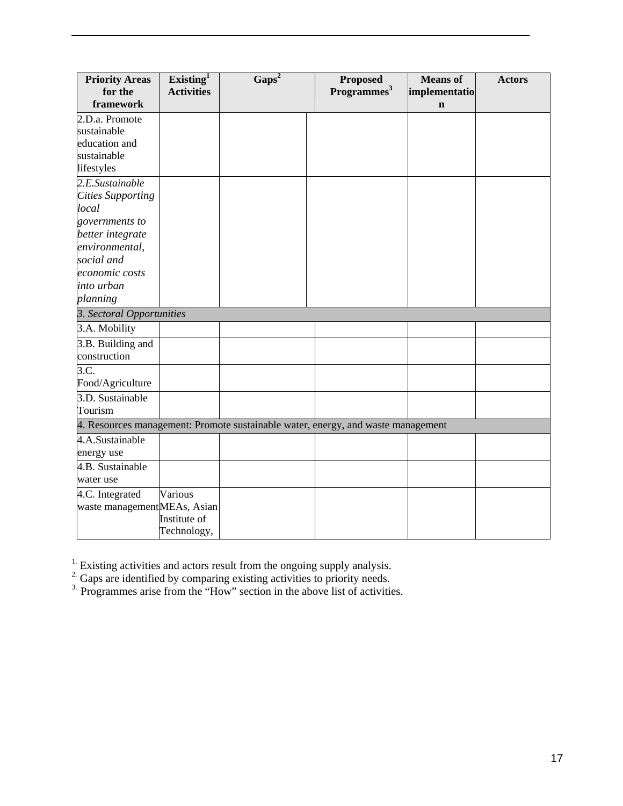| <b>Priority Areas</b><br>for the<br>framework                                    | Existing <sup>1</sup><br><b>Activities</b> | $\overline{\text{Gaps}^2}$ | <b>Proposed</b><br>Programmes <sup>3</sup> | <b>Means</b> of<br>implementatio<br>$\mathbf n$ | <b>Actors</b> |
|----------------------------------------------------------------------------------|--------------------------------------------|----------------------------|--------------------------------------------|-------------------------------------------------|---------------|
| 2.D.a. Promote                                                                   |                                            |                            |                                            |                                                 |               |
| sustainable<br>education and                                                     |                                            |                            |                                            |                                                 |               |
| sustainable                                                                      |                                            |                            |                                            |                                                 |               |
| lifestyles                                                                       |                                            |                            |                                            |                                                 |               |
| 2.E.Sustainable                                                                  |                                            |                            |                                            |                                                 |               |
| <b>Cities Supporting</b>                                                         |                                            |                            |                                            |                                                 |               |
| local                                                                            |                                            |                            |                                            |                                                 |               |
| governments to                                                                   |                                            |                            |                                            |                                                 |               |
| better integrate                                                                 |                                            |                            |                                            |                                                 |               |
| environmental,                                                                   |                                            |                            |                                            |                                                 |               |
| social and                                                                       |                                            |                            |                                            |                                                 |               |
| economic costs                                                                   |                                            |                            |                                            |                                                 |               |
| into urban                                                                       |                                            |                            |                                            |                                                 |               |
| planning                                                                         |                                            |                            |                                            |                                                 |               |
| 3. Sectoral Opportunities                                                        |                                            |                            |                                            |                                                 |               |
| 3.A. Mobility                                                                    |                                            |                            |                                            |                                                 |               |
| 3.B. Building and                                                                |                                            |                            |                                            |                                                 |               |
| construction                                                                     |                                            |                            |                                            |                                                 |               |
| 3.C.                                                                             |                                            |                            |                                            |                                                 |               |
| Food/Agriculture                                                                 |                                            |                            |                                            |                                                 |               |
| 3.D. Sustainable                                                                 |                                            |                            |                                            |                                                 |               |
| Tourism                                                                          |                                            |                            |                                            |                                                 |               |
| 4. Resources management: Promote sustainable water, energy, and waste management |                                            |                            |                                            |                                                 |               |
| 4.A.Sustainable                                                                  |                                            |                            |                                            |                                                 |               |
| energy use                                                                       |                                            |                            |                                            |                                                 |               |
| 4.B. Sustainable                                                                 |                                            |                            |                                            |                                                 |               |
| water use                                                                        |                                            |                            |                                            |                                                 |               |
| 4.C. Integrated                                                                  | Various                                    |                            |                                            |                                                 |               |
| waste managementMEAs, Asian                                                      |                                            |                            |                                            |                                                 |               |
|                                                                                  | Institute of                               |                            |                                            |                                                 |               |
|                                                                                  | Technology,                                |                            |                                            |                                                 |               |

 $<sup>1</sup>$  Existing activities and actors result from the ongoing supply analysis.</sup>

 $2^{\circ}$  Gaps are identified by comparing existing activities to priority needs.

<sup>3.</sup> Programmes arise from the "How" section in the above list of activities.